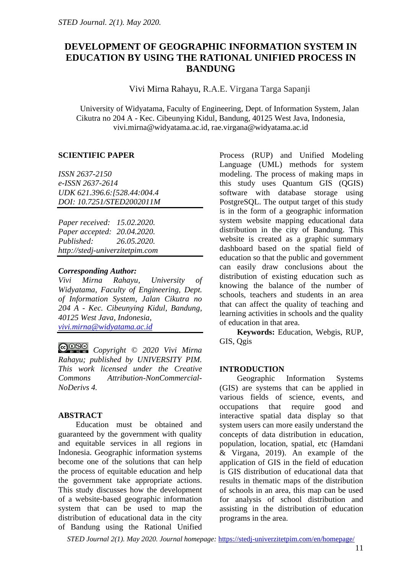# **DEVELOPMENT OF GEOGRAPHIC INFORMATION SYSTEM IN EDUCATION BY USING THE RATIONAL UNIFIED PROCESS IN BANDUNG**

Vivi Mirna Rahayu, R.A.E. Virgana Targa Sapanji

University of Widyatama, Faculty of Engineering, Dept. of Information System, Jalan Cikutra no 204 A - Kec. Cibeunying Kidul, Bandung, 40125 West Java, Indonesia, [vivi.mirna@widyatama.ac.id,](mailto:vivi.mirna@widyatama.ac.id) [rae.virgana@widyatama.ac.id](mailto:rae.virgana@widyatama.ac.id)

### **SCIENTIFIC PAPER**

*ISSN 2637-2150 e-ISSN 2637-2614 UDK 621.396.6:[528.44:004.4 DOI: 10.7251/STED2002011M*

*Paper received: 15.02.2020. Paper accepted: 20.04.2020. Published: 26.05.2020. http://stedj-univerzitetpim.com*

### *Corresponding Author:*

*Vivi Mirna Rahayu, University of Widyatama, Faculty of Engineering, Dept. of Information System, Jalan Cikutra no 204 A - Kec. Cibeunying Kidul, Bandung, 40125 West Java, Indonesia, [vivi.mirna@widyatama.ac.id](mailto:vivi.mirna@widyatama.ac.id)*

*Copyright © 2020 Vivi Mirna Rahayu; published by UNIVERSITY PIM. This work licensed under the Creative Commons Attribution-NonCommercial-NoDerivs 4.*

# **ABSTRACT**

Education must be obtained and guaranteed by the government with quality and equitable services in all regions in Indonesia. Geographic information systems become one of the solutions that can help the process of equitable education and help the government take appropriate actions. This study discusses how the development of a website-based geographic information system that can be used to map the distribution of educational data in the city of Bandung using the Rational Unified

Process (RUP) and Unified Modeling Language (UML) methods for system modeling. The process of making maps in this study uses Quantum GIS (QGIS) software with database storage using PostgreSQL. The output target of this study is in the form of a geographic information system website mapping educational data distribution in the city of Bandung. This website is created as a graphic summary dashboard based on the spatial field of education so that the public and government can easily draw conclusions about the distribution of existing education such as knowing the balance of the number of schools, teachers and students in an area that can affect the quality of teaching and learning activities in schools and the quality of education in that area.

**Keywords:** Education, Webgis, RUP, GIS, Qgis

# **INTRODUCTION**

Geographic Information Systems (GIS) are systems that can be applied in various fields of science, events, and occupations that require good and interactive spatial data display so that system users can more easily understand the concepts of data distribution in education, population, location, spatial, etc (Hamdani & Virgana, 2019). An example of the application of GIS in the field of education is GIS distribution of educational data that results in thematic maps of the distribution of schools in an area, this map can be used for analysis of school distribution and assisting in the distribution of education programs in the area.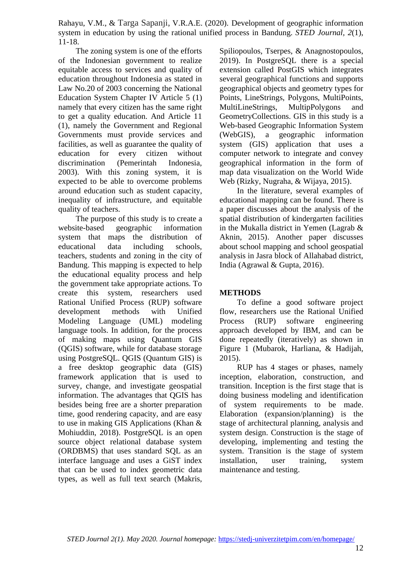The zoning system is one of the efforts of the Indonesian government to realize equitable access to services and quality of education throughout Indonesia as stated in Law No.20 of 2003 concerning the National Education System Chapter IV Article 5 (1) namely that every citizen has the same right to get a quality education. And Article 11 (1), namely the Government and Regional Governments must provide services and facilities, as well as guarantee the quality of education for every citizen without discrimination (Pemerintah Indonesia, 2003). With this zoning system, it is expected to be able to overcome problems around education such as student capacity, inequality of infrastructure, and equitable quality of teachers.

The purpose of this study is to create a website-based geographic information system that maps the distribution of educational data including schools, teachers, students and zoning in the city of Bandung. This mapping is expected to help the educational equality process and help the government take appropriate actions. To create this system, researchers used Rational Unified Process (RUP) software development methods with Unified Modeling Language (UML) modeling language tools. In addition, for the process of making maps using Quantum GIS (QGIS) software, while for database storage using PostgreSQL. QGIS (Quantum GIS) is a free desktop geographic data (GIS) framework application that is used to survey, change, and investigate geospatial information. The advantages that QGIS has besides being free are a shorter preparation time, good rendering capacity, and are easy to use in making GIS Applications (Khan & Mohiuddin, 2018). PostgreSQL is an open source object relational database system (ORDBMS) that uses standard SQL as an interface language and uses a GiST index that can be used to index geometric data types, as well as full text search (Makris,

Spiliopoulos, Tserpes, & Anagnostopoulos, 2019). In PostgreSQL there is a special extension called PostGIS which integrates several geographical functions and supports geographical objects and geometry types for Points, LineStrings, Polygons, MultiPoints, MultiLineStrings, MultipPolygons and GeometryCollections. GIS in this study is a Web-based Geographic Information System (WebGIS), a geographic information system (GIS) application that uses a computer network to integrate and convey geographical information in the form of map data visualization on the World Wide Web (Rizky, Nugraha, & Wijaya, 2015).

In the literature, several examples of educational mapping can be found. There is a paper discusses about the analysis of the spatial distribution of kindergarten facilities in the Mukalla district in Yemen (Lagrab & Aknin, 2015). Another paper discusses about school mapping and school geospatial analysis in Jasra block of Allahabad district, India (Agrawal & Gupta, 2016).

### **METHODS**

To define a good software project flow, researchers use the Rational Unified Process (RUP) software engineering approach developed by IBM, and can be done repeatedly (iteratively) as shown in Figure 1 (Mubarok, Harliana, & Hadijah, 2015).

RUP has 4 stages or phases, namely inception, elaboration, construction, and transition. Inception is the first stage that is doing business modeling and identification of system requirements to be made. Elaboration (expansion/planning) is the stage of architectural planning, analysis and system design. Construction is the stage of developing, implementing and testing the system. Transition is the stage of system installation, user training, system maintenance and testing.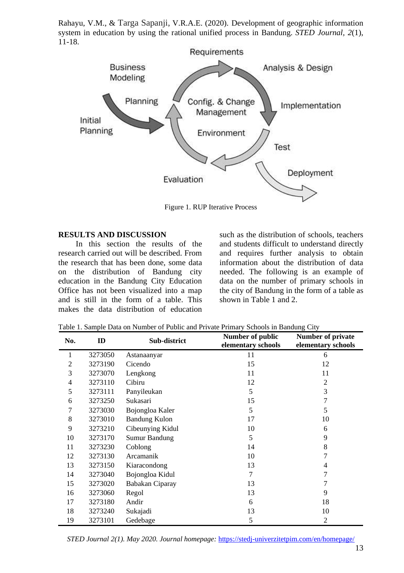

Figure 1. RUP Iterative Process

#### **RESULTS AND DISCUSSION**

In this section the results of the research carried out will be described. From the research that has been done, some data on the distribution of Bandung city education in the Bandung City Education Office has not been visualized into a map and is still in the form of a table. This makes the data distribution of education

such as the distribution of schools, teachers and students difficult to understand directly and requires further analysis to obtain information about the distribution of data needed. The following is an example of data on the number of primary schools in the city of Bandung in the form of a table as shown in Table 1 and 2.

| No. | ID      | Sub-district         | Number of public<br>elementary schools | <b>Number of private</b><br>elementary schools |
|-----|---------|----------------------|----------------------------------------|------------------------------------------------|
| 1   | 3273050 | Astanaanyar          | 11                                     | 6                                              |
| 2   | 3273190 | Cicendo              | 15                                     | 12                                             |
| 3   | 3273070 | Lengkong             | 11                                     | 11                                             |
| 4   | 3273110 | Cibiru               | 12                                     | 2                                              |
| 5   | 3273111 | Panyileukan          | 5                                      | 3                                              |
| 6   | 3273250 | Sukasari             | 15                                     | 7                                              |
| 7   | 3273030 | Bojongloa Kaler      | 5                                      | 5                                              |
| 8   | 3273010 | <b>Bandung Kulon</b> | 17                                     | 10                                             |
| 9   | 3273210 | Cibeunying Kidul     | 10                                     | 6                                              |
| 10  | 3273170 | Sumur Bandung        | 5                                      | 9                                              |
| 11  | 3273230 | Coblong              | 14                                     | 8                                              |
| 12  | 3273130 | Arcamanik            | 10                                     |                                                |
| 13  | 3273150 | Kiaracondong         | 13                                     | 4                                              |
| 14  | 3273040 | Bojongloa Kidul      | 7                                      |                                                |
| 15  | 3273020 | Babakan Ciparay      | 13                                     |                                                |
| 16  | 3273060 | Regol                | 13                                     | 9                                              |
| 17  | 3273180 | Andir                | 6                                      | 18                                             |
| 18  | 3273240 | Sukajadi             | 13                                     | 10                                             |
| 19  | 3273101 | Gedebage             | 5                                      | $\overline{2}$                                 |

Table 1. Sample Data on Number of Public and Private Primary Schools in Bandung City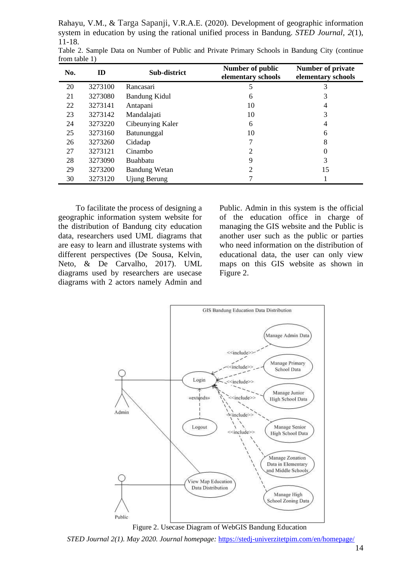| No. | ID      | Sub-district         | Number of public<br>elementary schools | <b>Number of private</b><br>elementary schools |
|-----|---------|----------------------|----------------------------------------|------------------------------------------------|
| 20  | 3273100 | Rancasari            | 5                                      | 3                                              |
| 21  | 3273080 | Bandung Kidul        | 6                                      | 3                                              |
| 22  | 3273141 | Antapani             | 10                                     | 4                                              |
| 23  | 3273142 | Mandalajati          | 10                                     | 3                                              |
| 24  | 3273220 | Cibeunying Kaler     | 6                                      | 4                                              |
| 25  | 3273160 | Batununggal          | 10                                     | 6                                              |
| 26  | 3273260 | Cidadap              |                                        | 8                                              |
| 27  | 3273121 | Cinambo              | 2                                      | $\Omega$                                       |
| 28  | 3273090 | Buahbatu             | 9                                      | 3                                              |
| 29  | 3273200 | <b>Bandung Wetan</b> | 2                                      | 15                                             |
| 30  | 3273120 | Ujung Berung         |                                        |                                                |

Table 2. Sample Data on Number of Public and Private Primary Schools in Bandung City (continue from table 1)

To facilitate the process of designing a geographic information system website for the distribution of Bandung city education data, researchers used UML diagrams that are easy to learn and illustrate systems with different perspectives (De Sousa, Kelvin, Neto, & De Carvalho, 2017). UML diagrams used by researchers are usecase diagrams with 2 actors namely Admin and Public. Admin in this system is the official of the education office in charge of managing the GIS website and the Public is another user such as the public or parties who need information on the distribution of educational data, the user can only view maps on this GIS website as shown in Figure 2.



Figure 2. Usecase Diagram of WebGIS Bandung Education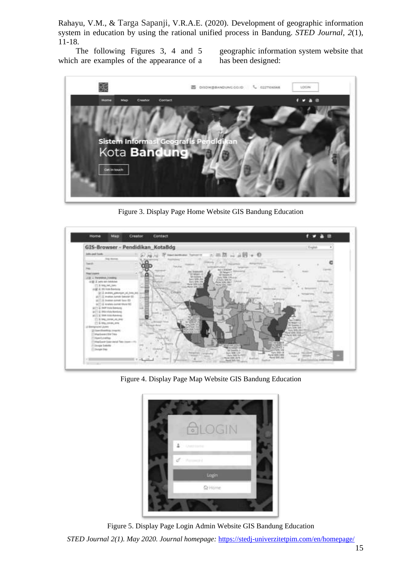The following Figures 3, 4 and 5 which are examples of the appearance of a geographic information system website that has been designed:



Figure 3. Display Page Home Website GIS Bandung Education



Figure 4. Display Page Map Website GIS Bandung Education



*STED Journal 2(1). May 2020. Journal homepage:* <https://stedj-univerzitetpim.com/en/homepage/> Figure 5. Display Page Login Admin Website GIS Bandung Education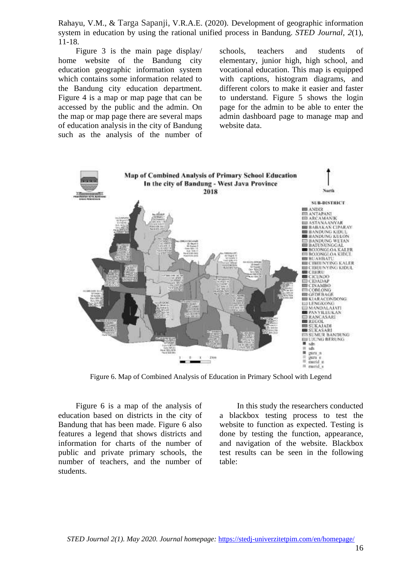Figure 3 is the main page display/ home website of the Bandung city education geographic information system which contains some information related to the Bandung city education department. Figure 4 is a map or map page that can be accessed by the public and the admin. On the map or map page there are several maps of education analysis in the city of Bandung such as the analysis of the number of schools, teachers and students of elementary, junior high, high school, and vocational education. This map is equipped with captions, histogram diagrams, and different colors to make it easier and faster to understand. Figure 5 shows the login page for the admin to be able to enter the admin dashboard page to manage map and website data.



Figure 6. Map of Combined Analysis of Education in Primary School with Legend

Figure 6 is a map of the analysis of education based on districts in the city of Bandung that has been made. Figure 6 also features a legend that shows districts and information for charts of the number of public and private primary schools, the number of teachers, and the number of students.

In this study the researchers conducted a blackbox testing process to test the website to function as expected. Testing is done by testing the function, appearance, and navigation of the website. Blackbox test results can be seen in the following table: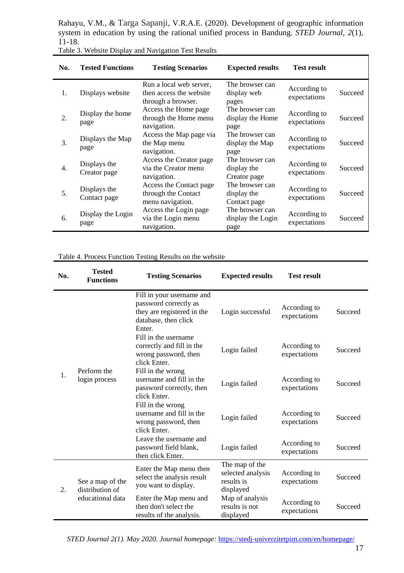| No. | <b>Tested Functions</b>      | <b>Testing Scenarios</b>                                                 | <b>Expected results</b>                        | <b>Test result</b>           |         |
|-----|------------------------------|--------------------------------------------------------------------------|------------------------------------------------|------------------------------|---------|
| 1.  | Displays website             | Run a local web server,<br>then access the website<br>through a browser. | The browser can<br>display web<br>pages        | According to<br>expectations | Succeed |
| 2.  | Display the home<br>page     | Access the Home page<br>through the Home menu<br>navigation.             | The browser can<br>display the Home<br>page    | According to<br>expectations | Succeed |
| 3.  | Displays the Map<br>page     | Access the Map page via<br>the Map menu<br>navigation.                   | The browser can<br>display the Map<br>page     | According to<br>expectations | Succeed |
| 4.  | Displays the<br>Creator page | Access the Creator page<br>via the Creator menu<br>navigation.           | The browser can<br>display the<br>Creator page | According to<br>expectations | Succeed |
| 5.  | Displays the<br>Contact page | Access the Contact page<br>through the Contact<br>menu navigation.       | The browser can<br>display the<br>Contact page | According to<br>expectations | Succeed |
| 6.  | Display the Login<br>page    | Access the Login page<br>via the Login menu<br>navigation.               | The browser can<br>display the Login<br>page   | According to<br>expectations | Succeed |

| Table 3. Website Display and Navigation Test Results |  |  |  |
|------------------------------------------------------|--|--|--|
|------------------------------------------------------|--|--|--|

#### Table 4. Process Function Testing Results on the website

L.

| No. | <b>Tested</b><br><b>Functions</b>                       | <b>Testing Scenarios</b>                                                                                           | <b>Expected results</b>                                        | <b>Test result</b>           |         |
|-----|---------------------------------------------------------|--------------------------------------------------------------------------------------------------------------------|----------------------------------------------------------------|------------------------------|---------|
| 1.  | Perform the<br>login process                            | Fill in your username and<br>password correctly as<br>they are registered in the<br>database, then click<br>Enter. | Login successful                                               | According to<br>expectations | Succeed |
|     |                                                         | Fill in the username<br>correctly and fill in the<br>wrong password, then<br>click Enter.                          | Login failed                                                   | According to<br>expectations | Succeed |
|     |                                                         | Fill in the wrong<br>username and fill in the<br>password correctly, then<br>click Enter.                          | Login failed                                                   | According to<br>expectations | Succeed |
|     |                                                         | Fill in the wrong<br>username and fill in the<br>wrong password, then<br>click Enter.                              | Login failed                                                   | According to<br>expectations | Succeed |
|     |                                                         | Leave the username and<br>password field blank,<br>then click Enter.                                               | Login failed                                                   | According to<br>expectations | Succeed |
| 2.  | See a map of the<br>distribution of<br>educational data | Enter the Map menu then<br>select the analysis result<br>you want to display.                                      | The map of the<br>selected analysis<br>results is<br>displayed | According to<br>expectations | Succeed |
|     |                                                         | Enter the Map menu and<br>then don't select the<br>results of the analysis.                                        | Map of analysis<br>results is not<br>displayed                 | According to<br>expectations | Succeed |